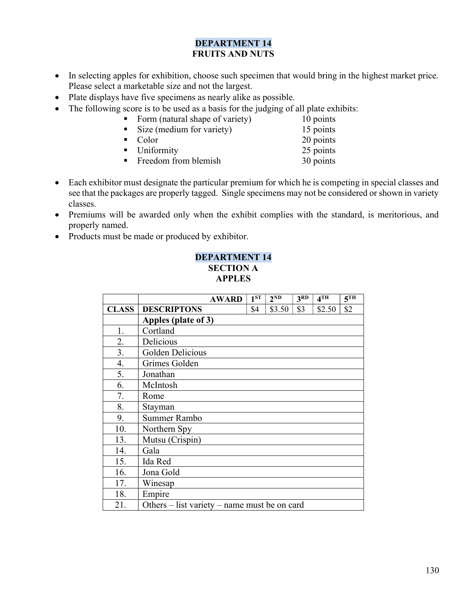## DEPARTMENT 14 FRUITS AND NUTS

- In selecting apples for exhibition, choose such specimen that would bring in the highest market price. Please select a marketable size and not the largest.
- Plate displays have five specimens as nearly alike as possible.
- The following score is to be used as a basis for the judging of all plate exhibits:
	- Form (natural shape of variety) 10 points
	- Size (medium for variety) 15 points • Color 20 points ■ Uniformity 25 points
		- Freedom from blemish 30 points
- Each exhibitor must designate the particular premium for which he is competing in special classes and see that the packages are properly tagged. Single specimens may not be considered or shown in variety classes.
- Premiums will be awarded only when the exhibit complies with the standard, is meritorious, and properly named.
- Products must be made or produced by exhibitor.

## DEPARTMENT 14 SECTION A APPLES

|              | <b>AWARD</b>                                 | $1^{ST}$ | 2 <sub>ND</sub> | 3 <sup>RD</sup> | 4TH    | $\overline{5^{TH}}$ |
|--------------|----------------------------------------------|----------|-----------------|-----------------|--------|---------------------|
| <b>CLASS</b> | <b>DESCRIPTONS</b>                           | \$4      | \$3.50          | \$3             | \$2.50 | \$2                 |
|              | Apples (plate of 3)                          |          |                 |                 |        |                     |
| 1.           | Cortland                                     |          |                 |                 |        |                     |
| 2.           | Delicious                                    |          |                 |                 |        |                     |
| 3.           | Golden Delicious                             |          |                 |                 |        |                     |
| 4.           | Grimes Golden                                |          |                 |                 |        |                     |
| 5.           | Jonathan                                     |          |                 |                 |        |                     |
| 6.           | McIntosh                                     |          |                 |                 |        |                     |
| 7.           | Rome                                         |          |                 |                 |        |                     |
| 8.           | Stayman                                      |          |                 |                 |        |                     |
| 9.           | Summer Rambo                                 |          |                 |                 |        |                     |
| 10.          | Northern Spy                                 |          |                 |                 |        |                     |
| 13.          | Mutsu (Crispin)                              |          |                 |                 |        |                     |
| 14.          | Gala                                         |          |                 |                 |        |                     |
| 15.          | Ida Red                                      |          |                 |                 |        |                     |
| 16.          | Jona Gold                                    |          |                 |                 |        |                     |
| 17.          | Winesap                                      |          |                 |                 |        |                     |
| 18.          | Empire                                       |          |                 |                 |        |                     |
| 21.          | Others – list variety – name must be on card |          |                 |                 |        |                     |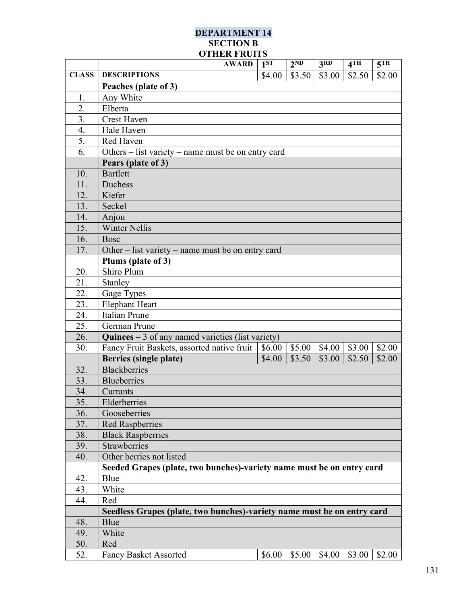## DEPARTMENT 14 SECTION B OTHER FRUITS

|              | <b>AWARD</b>                                                                  | 1 <sup>ST</sup> | 2 <sub>ND</sub> | 3 <sub>RD</sub> | 4TH    | 5 <sup>TH</sup> |  |
|--------------|-------------------------------------------------------------------------------|-----------------|-----------------|-----------------|--------|-----------------|--|
| <b>CLASS</b> | <b>DESCRIPTIONS</b>                                                           | \$4.00          | \$3.50          | \$3.00          | \$2.50 | \$2.00          |  |
|              | Peaches (plate of 3)                                                          |                 |                 |                 |        |                 |  |
| 1.           | Any White                                                                     |                 |                 |                 |        |                 |  |
| 2.           | Elberta                                                                       |                 |                 |                 |        |                 |  |
| 3.           | <b>Crest Haven</b>                                                            |                 |                 |                 |        |                 |  |
| 4.           | Hale Haven                                                                    |                 |                 |                 |        |                 |  |
| 5.           | Red Haven                                                                     |                 |                 |                 |        |                 |  |
| 6.           | Others $-$ list variety $-$ name must be on entry card                        |                 |                 |                 |        |                 |  |
|              | Pears (plate of 3)                                                            |                 |                 |                 |        |                 |  |
| 10.          | <b>Bartlett</b>                                                               |                 |                 |                 |        |                 |  |
| 11.          | Duchess                                                                       |                 |                 |                 |        |                 |  |
| 12.          | Kiefer                                                                        |                 |                 |                 |        |                 |  |
| 13.          | Seckel                                                                        |                 |                 |                 |        |                 |  |
| 14.          | Anjou                                                                         |                 |                 |                 |        |                 |  |
| 15.          | <b>Winter Nellis</b>                                                          |                 |                 |                 |        |                 |  |
| 16.          | <b>Bosc</b>                                                                   |                 |                 |                 |        |                 |  |
| 17.          | Other $-$ list variety $-$ name must be on entry card                         |                 |                 |                 |        |                 |  |
|              | Plums (plate of 3)                                                            |                 |                 |                 |        |                 |  |
| 20.          | Shiro Plum                                                                    |                 |                 |                 |        |                 |  |
| 21.          | Stanley                                                                       |                 |                 |                 |        |                 |  |
| 22.          | Gage Types                                                                    |                 |                 |                 |        |                 |  |
| 23.          | Elephant Heart                                                                |                 |                 |                 |        |                 |  |
| 24.          | <b>Italian Prune</b>                                                          |                 |                 |                 |        |                 |  |
| 25.          | German Prune                                                                  |                 |                 |                 |        |                 |  |
| 26.          | <b>Quinces</b> $-3$ of any named varieties (list variety)                     |                 |                 |                 |        |                 |  |
| 30.          | Fancy Fruit Baskets, assorted native fruit                                    | \$6.00          | \$5.00          | \$4.00          | \$3.00 | \$2.00          |  |
|              | <b>Berries (single plate)</b>                                                 | \$4.00          | \$3.50          | \$3.00          | \$2.50 | \$2.00          |  |
| 32.          | <b>Blackberries</b>                                                           |                 |                 |                 |        |                 |  |
| 33.          | <b>Blueberries</b>                                                            |                 |                 |                 |        |                 |  |
| 34.          | Currants                                                                      |                 |                 |                 |        |                 |  |
| 35.          | Elderberries                                                                  |                 |                 |                 |        |                 |  |
| 36.          | Gooseberries                                                                  |                 |                 |                 |        |                 |  |
| 37.          | <b>Red Raspberries</b>                                                        |                 |                 |                 |        |                 |  |
| 38.<br>39.   | <b>Black Raspberries</b><br><b>Strawberries</b>                               |                 |                 |                 |        |                 |  |
|              | Other berries not listed                                                      |                 |                 |                 |        |                 |  |
| 40.          |                                                                               |                 |                 |                 |        |                 |  |
| 42.          | Seeded Grapes (plate, two bunches)-variety name must be on entry card<br>Blue |                 |                 |                 |        |                 |  |
| 43.          | White                                                                         |                 |                 |                 |        |                 |  |
| 44.          | Red                                                                           |                 |                 |                 |        |                 |  |
|              | Seedless Grapes (plate, two bunches)-variety name must be on entry card       |                 |                 |                 |        |                 |  |
| 48.          | Blue                                                                          |                 |                 |                 |        |                 |  |
| 49.          | White                                                                         |                 |                 |                 |        |                 |  |
| 50.          | Red                                                                           |                 |                 |                 |        |                 |  |
| 52.          | <b>Fancy Basket Assorted</b>                                                  | \$6.00          | \$5.00          | \$4.00          | \$3.00 | \$2.00          |  |
|              |                                                                               |                 |                 |                 |        |                 |  |